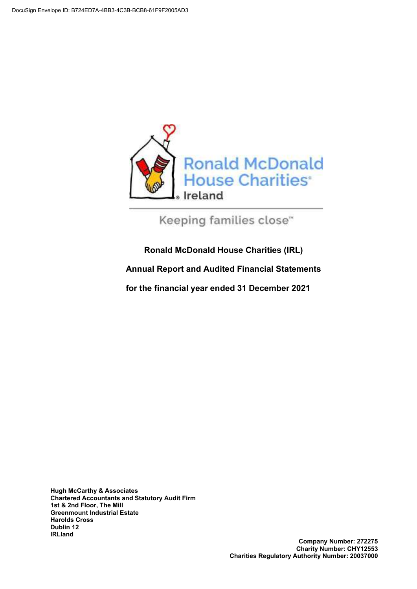

Keeping families close"

### **Ronald McDonald House Charities (IRL)**

**Annual Report and Audited Financial Statements** 

**for the financial year ended 31 December 2021** 

**Hugh McCarthy & Associates Chartered Accountants and Statutory Audit Firm 1st & 2nd Floor, The Mill Greenmount Industrial Estate Harolds Cross Dublin 12 IRLland**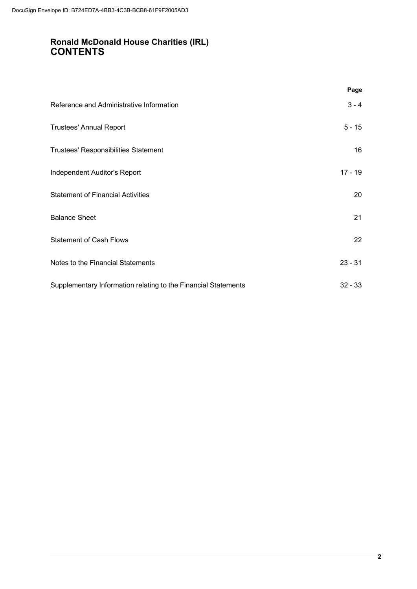### **Ronald McDonald House Charities (IRL) CONTENTS**

|                                                                | Page      |
|----------------------------------------------------------------|-----------|
| Reference and Administrative Information                       | $3 - 4$   |
| <b>Trustees' Annual Report</b>                                 | $5 - 15$  |
| <b>Trustees' Responsibilities Statement</b>                    | 16        |
| Independent Auditor's Report                                   | $17 - 19$ |
| <b>Statement of Financial Activities</b>                       | 20        |
| <b>Balance Sheet</b>                                           | 21        |
| <b>Statement of Cash Flows</b>                                 | 22        |
| Notes to the Financial Statements                              | $23 - 31$ |
| Supplementary Information relating to the Financial Statements | $32 - 33$ |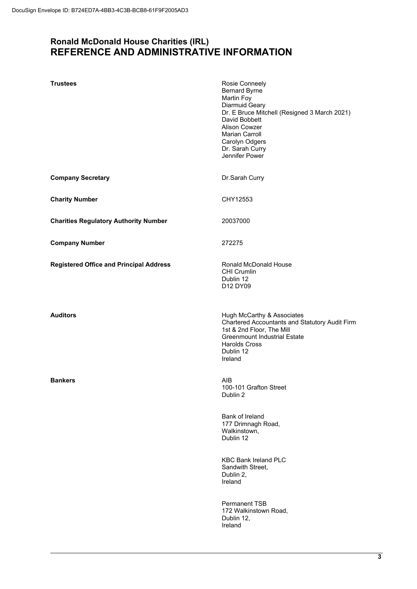### **Ronald McDonald House Charities (IRL) REFERENCE AND ADMINISTRATIVE INFORMATION**

| <b>Trustees</b>                                | Rosie Conneely<br><b>Bernard Byrne</b><br>Martin Foy<br>Diarmuid Geary<br>Dr. E Bruce Mitchell (Resigned 3 March 2021)<br>David Bobbett<br>Alison Cowzer<br><b>Marian Carroll</b><br>Carolyn Odgers<br>Dr. Sarah Curry<br>Jennifer Power |
|------------------------------------------------|------------------------------------------------------------------------------------------------------------------------------------------------------------------------------------------------------------------------------------------|
| <b>Company Secretary</b>                       | Dr.Sarah Curry                                                                                                                                                                                                                           |
| <b>Charity Number</b>                          | CHY12553                                                                                                                                                                                                                                 |
| <b>Charities Regulatory Authority Number</b>   | 20037000                                                                                                                                                                                                                                 |
| <b>Company Number</b>                          | 272275                                                                                                                                                                                                                                   |
| <b>Registered Office and Principal Address</b> | <b>Ronald McDonald House</b><br><b>CHI Crumlin</b><br>Dublin 12<br>D12 DY09                                                                                                                                                              |
| <b>Auditors</b>                                | Hugh McCarthy & Associates<br>Chartered Accountants and Statutory Audit Firm<br>1st & 2nd Floor, The Mill<br><b>Greenmount Industrial Estate</b><br><b>Harolds Cross</b><br>Dublin 12<br>Ireland                                         |
| <b>Bankers</b>                                 | AIB<br>100-101 Grafton Street<br>Dublin 2                                                                                                                                                                                                |
|                                                | <b>Bank of Ireland</b><br>177 Drimnagh Road,<br>Walkinstown,<br>Dublin 12                                                                                                                                                                |
|                                                | <b>KBC Bank Ireland PLC</b><br>Sandwith Street,<br>Dublin 2,<br>Ireland                                                                                                                                                                  |
|                                                | Permanent TSB<br>172 Walkinstown Road,<br>Dublin 12,<br>Ireland                                                                                                                                                                          |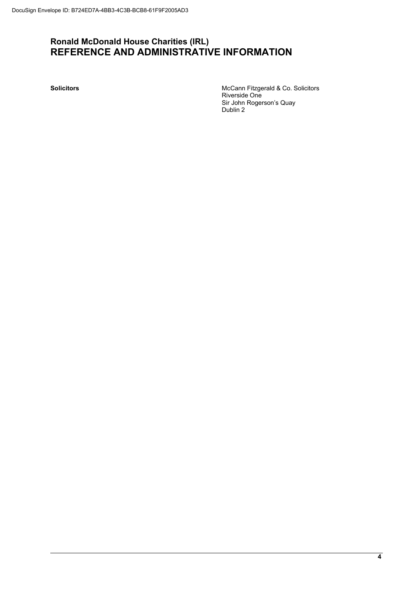### **Ronald McDonald House Charities (IRL) REFERENCE AND ADMINISTRATIVE INFORMATION**

**Solicitors** McCann Fitzgerald & Co. Solicitors Riverside One Sir John Rogerson's Quay Dublin 2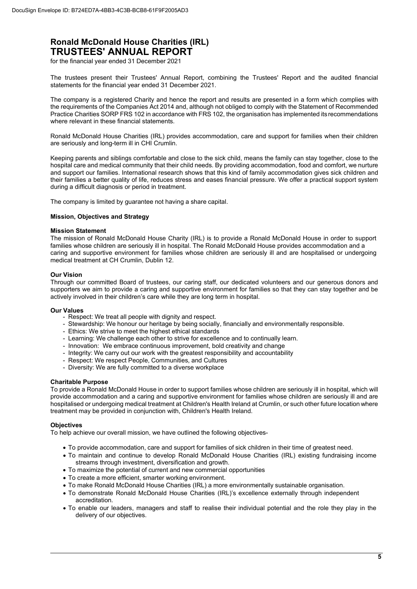for the financial year ended 31 December 2021

The trustees present their Trustees' Annual Report, combining the Trustees' Report and the audited financial statements for the financial year ended 31 December 2021.

The company is a registered Charity and hence the report and results are presented in a form which complies with the requirements of the Companies Act 2014 and, although not obliged to comply with the Statement of Recommended Practice Charities SORP FRS 102 in accordance with FRS 102, the organisation has implemented its recommendations where relevant in these financial statements.

Ronald McDonald House Charities (IRL) provides accommodation, care and support for families when their children are seriously and long-term ill in CHI Crumlin.

Keeping parents and siblings comfortable and close to the sick child, means the family can stay together, close to the hospital care and medical community that their child needs. By providing accommodation, food and comfort, we nurture and support our families. International research shows that this kind of family accommodation gives sick children and their families a better quality of life, reduces stress and eases financial pressure. We offer a practical support system during a difficult diagnosis or period in treatment.

The company is limited by guarantee not having a share capital.

#### **Mission, Objectives and Strategy**

#### **Mission Statement**

The mission of Ronald McDonald House Charity (IRL) is to provide a Ronald McDonald House in order to support families whose children are seriously ill in hospital. The Ronald McDonald House provides accommodation and a caring and supportive environment for families whose children are seriously ill and are hospitalised or undergoing medical treatment at CH Crumlin, Dublin 12.

#### **Our Vision**

Through our committed Board of trustees, our caring staff, our dedicated volunteers and our generous donors and supporters we aim to provide a caring and supportive environment for families so that they can stay together and be actively involved in their children's care while they are long term in hospital.

#### **Our Values**

- Respect: We treat all people with dignity and respect.
- Stewardship: We honour our heritage by being socially, financially and environmentally responsible.
- Ethics: We strive to meet the highest ethical standards
- Learning: We challenge each other to strive for excellence and to continually learn.
- Innovation: We embrace continuous improvement, bold creativity and change
- Integrity: We carry out our work with the greatest responsibility and accountability
- Respect: We respect People, Communities, and Cultures
- Diversity: We are fully committed to a diverse workplace

#### **Charitable Purpose**

To provide a Ronald McDonald House in order to support families whose children are seriously ill in hospital, which will provide accommodation and a caring and supportive environment for families whose children are seriously ill and are hospitalised or undergoing medical treatment at Children's Health Ireland at Crumlin, or such other future location where treatment may be provided in conjunction with, Children's Health Ireland.

#### **Objectives**

To help achieve our overall mission, we have outlined the following objectives-

- To provide accommodation, care and support for families of sick children in their time of greatest need.
- To maintain and continue to develop Ronald McDonald House Charities (IRL) existing fundraising income streams through investment, diversification and growth.
- To maximize the potential of current and new commercial opportunities
- To create a more efficient, smarter working environment.
- To make Ronald McDonald House Charities (IRL) a more environmentally sustainable organisation.
- To demonstrate Ronald McDonald House Charities (IRL)'s excellence externally through independent accreditation.
- To enable our leaders, managers and staff to realise their individual potential and the role they play in the delivery of our objectives.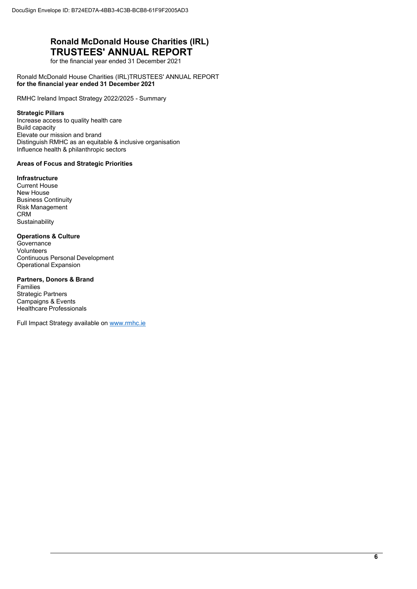for the financial year ended 31 December 2021

Ronald McDonald House Charities (IRL) TRUSTEES' ANNUAL REPORT **for the financial year ended 31 December 2021** 

RMHC Ireland Impact Strategy 2022/2025 - Summary

#### **Strategic Pillars**

Increase access to quality health care Build capacity Elevate our mission and brand Distinguish RMHC as an equitable & inclusive organisation Influence health & philanthropic sectors

#### **Areas of Focus and Strategic Priorities**

#### **Infrastructure**

Current House New House Business Continuity Risk Management CRM **Sustainability** 

### **Operations & Culture**

Governance Volunteers Continuous Personal Development Operational Expansion

### **Partners, Donors & Brand**

Families Strategic Partners Campaigns & Events Healthcare Professionals

Full Impact Strategy available on www.rmhc.ie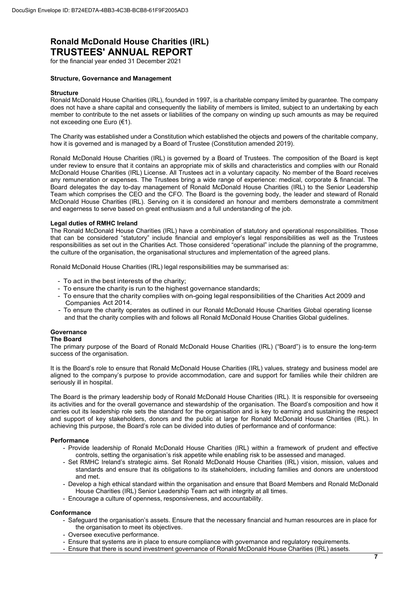for the financial year ended 31 December 2021

#### **Structure, Governance and Management**

#### **Structure**

Ronald McDonald House Charities (IRL), founded in 1997, is a charitable company limited by guarantee. The company does not have a share capital and consequently the liability of members is limited, subject to an undertaking by each member to contribute to the net assets or liabilities of the company on winding up such amounts as may be required not exceeding one Euro (€1).

The Charity was established under a Constitution which established the objects and powers of the charitable company, how it is governed and is managed by a Board of Trustee (Constitution amended 2019).

Ronald McDonald House Charities (IRL) is governed by a Board of Trustees. The composition of the Board is kept under review to ensure that it contains an appropriate mix of skills and characteristics and complies with our Ronald McDonald House Charities (IRL) License. All Trustees act in a voluntary capacity. No member of the Board receives any remuneration or expenses. The Trustees bring a wide range of experience: medical, corporate & financial. The Board delegates the day to-day management of Ronald McDonald House Charities (IRL) to the Senior Leadership Team which comprises the CEO and the CFO. The Board is the governing body, the leader and steward of Ronald McDonald House Charities (IRL). Serving on it is considered an honour and members demonstrate a commitment and eagerness to serve based on great enthusiasm and a full understanding of the job.

#### **Legal duties of RMHC Ireland**

The Ronald McDonald House Charities (IRL) have a combination of statutory and operational responsibilities. Those that can be considered "statutory" include financial and employer's legal responsibilities as well as the Trustees responsibilities as set out in the Charities Act. Those considered "operational" include the planning of the programme, the culture of the organisation, the organisational structures and implementation of the agreed plans.

Ronald McDonald House Charities (IRL) legal responsibilities may be summarised as:

- To act in the best interests of the charity;
- To ensure the charity is run to the highest governance standards;
- To ensure that the charity complies with on-going legal responsibilities of the Charities Act 2009 and Companies Act 2014.
- To ensure the charity operates as outlined in our Ronald McDonald House Charities Global operating license and that the charity complies with and follows all Ronald McDonald House Charities Global guidelines.

#### **Governance**

#### **The Board**

The primary purpose of the Board of Ronald McDonald House Charities (IRL) ("Board") is to ensure the long-term success of the organisation.

It is the Board's role to ensure that Ronald McDonald House Charities (IRL) values, strategy and business model are aligned to the company's purpose to provide accommodation, care and support for families while their children are seriously ill in hospital.

The Board is the primary leadership body of Ronald McDonald House Charities (IRL). It is responsible for overseeing its activities and for the overall governance and stewardship of the organisation. The Board's composition and how it carries out its leadership role sets the standard for the organisation and is key to earning and sustaining the respect and support of key stakeholders, donors and the public at large for Ronald McDonald House Charities (IRL). In achieving this purpose, the Board's role can be divided into duties of performance and of conformance:

#### **Performance**

- Provide leadership of Ronald McDonald House Charities (IRL) within a framework of prudent and effective controls, setting the organisation's risk appetite while enabling risk to be assessed and managed.
- Set RMHC Ireland's strategic aims. Set Ronald McDonald House Charities (IRL) vision, mission, values and standards and ensure that its obligations to its stakeholders, including families and donors are understood and met.
- Develop a high ethical standard within the organisation and ensure that Board Members and Ronald McDonald House Charities (IRL) Senior Leadership Team act with integrity at all times.
- Encourage a culture of openness, responsiveness, and accountability.

#### **Conformance**

- Safeguard the organisation's assets. Ensure that the necessary financial and human resources are in place for the organisation to meet its objectives.
- Oversee executive performance.
- Ensure that systems are in place to ensure compliance with governance and regulatory requirements.
- Ensure that there is sound investment governance of Ronald McDonald House Charities (IRL) assets.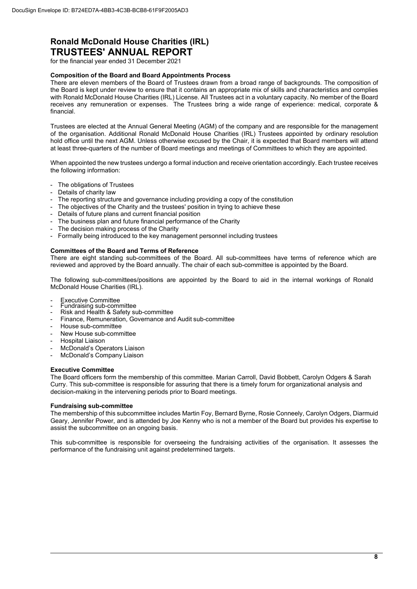for the financial year ended 31 December 2021

#### **Composition of the Board and Board Appointments Process**

There are eleven members of the Board of Trustees drawn from a broad range of backgrounds. The composition of the Board is kept under review to ensure that it contains an appropriate mix of skills and characteristics and complies with Ronald McDonald House Charities (IRL) License. All Trustees act in a voluntary capacity. No member of the Board receives any remuneration or expenses. The Trustees bring a wide range of experience: medical, corporate & financial.

Trustees are elected at the Annual General Meeting (AGM) of the company and are responsible for the management of the organisation. Additional Ronald McDonald House Charities (IRL) Trustees appointed by ordinary resolution hold office until the next AGM. Unless otherwise excused by the Chair, it is expected that Board members will attend at least three-quarters of the number of Board meetings and meetings of Committees to which they are appointed.

When appointed the new trustees undergo a formal induction and receive orientation accordingly. Each trustee receives the following information:

- The obligations of Trustees
- Details of charity law
- The reporting structure and governance including providing a copy of the constitution
- The objectives of the Charity and the trustees' position in trying to achieve these
- Details of future plans and current financial position
- The business plan and future financial performance of the Charity
- The decision making process of the Charity
- Formally being introduced to the key management personnel including trustees

#### **Committees of the Board and Terms of Reference**

There are eight standing sub-committees of the Board. All sub-committees have terms of reference which are reviewed and approved by the Board annually. The chair of each sub-committee is appointed by the Board.

The following sub-committees/positions are appointed by the Board to aid in the internal workings of Ronald McDonald House Charities (IRL).

- Executive Committee Fundraising sub-committee
- Risk and Health & Safety sub-committee
- Finance, Remuneration, Governance and Audit sub-committee
- House sub-committee
- New House sub-committee
- Hospital Liaison
- McDonald's Operators Liaison
- McDonald's Company Liaison

#### **Executive Committee**

The Board officers form the membership of this committee. Marian Carroll, David Bobbett, Carolyn Odgers & Sarah Curry. This sub-committee is responsible for assuring that there is a timely forum for organizational analysis and decision-making in the intervening periods prior to Board meetings.

#### **Fundraising sub-committee**

The membership of this subcommittee includes Martin Foy, Bernard Byrne, Rosie Conneely, Carolyn Odgers, Diarmuid Geary, Jennifer Power, and is attended by Joe Kenny who is not a member of the Board but provides his expertise to assist the subcommittee on an ongoing basis.

This sub-committee is responsible for overseeing the fundraising activities of the organisation. It assesses the performance of the fundraising unit against predetermined targets.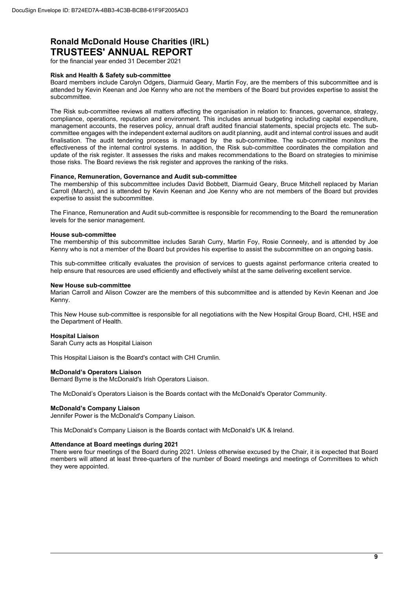for the financial year ended 31 December 2021

#### **Risk and Health & Safety sub-committee**

Board members include Carolyn Odgers, Diarmuid Geary, Martin Foy, are the members of this subcommittee and is attended by Kevin Keenan and Joe Kenny who are not the members of the Board but provides expertise to assist the subcommittee.

The Risk sub-committee reviews all matters affecting the organisation in relation to: finances, governance, strategy, compliance, operations, reputation and environment. This includes annual budgeting including capital expenditure, management accounts, the reserves policy, annual draft audited financial statements, special projects etc. The subcommittee engages with the independent external auditors on audit planning, audit and internal control issues and audit finalisation. The audit tendering process is managed by the sub-committee. The sub-committee monitors the effectiveness of the internal control systems. In addition, the Risk sub-committee coordinates the compilation and update of the risk register. It assesses the risks and makes recommendations to the Board on strategies to minimise those risks. The Board reviews the risk register and approves the ranking of the risks.

#### **Finance, Remuneration, Governance and Audit sub-committee**

The membership of this subcommittee includes David Bobbett, Diarmuid Geary, Bruce Mitchell replaced by Marian Carroll (March), and is attended by Kevin Keenan and Joe Kenny who are not members of the Board but provides expertise to assist the subcommittee.

The Finance, Remuneration and Audit sub-committee is responsible for recommending to the Board the remuneration levels for the senior management.

#### **House sub-committee**

The membership of this subcommittee includes Sarah Curry, Martin Foy, Rosie Conneely, and is attended by Joe Kenny who is not a member of the Board but provides his expertise to assist the subcommittee on an ongoing basis.

This sub-committee critically evaluates the provision of services to guests against performance criteria created to help ensure that resources are used efficiently and effectively whilst at the same delivering excellent service.

#### **New House sub-committee**

Marian Carroll and Alison Cowzer are the members of this subcommittee and is attended by Kevin Keenan and Joe Kenny.

This New House sub-committee is responsible for all negotiations with the New Hospital Group Board, CHI, HSE and the Department of Health.

#### **Hospital Liaison**

Sarah Curry acts as Hospital Liaison

This Hospital Liaison is the Board's contact with CHI Crumlin.

#### **McDonald's Operators Liaison**

Bernard Byrne is the McDonald's Irish Operators Liaison.

The McDonald's Operators Liaison is the Boards contact with the McDonald's Operator Community.

#### **McDonald's Company Liaison**

Jennifer Power is the McDonald's Company Liaison.

This McDonald's Company Liaison is the Boards contact with McDonald's UK & Ireland.

#### **Attendance at Board meetings during 2021**

There were four meetings of the Board during 2021. Unless otherwise excused by the Chair, it is expected that Board members will attend at least three-quarters of the number of Board meetings and meetings of Committees to which they were appointed.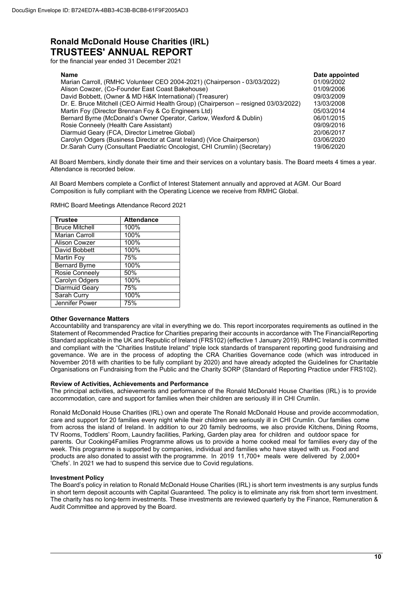for the financial year ended 31 December 2021

| <b>Name</b>                                                                         | Date appointed |
|-------------------------------------------------------------------------------------|----------------|
| Marian Carroll, (RMHC Volunteer CEO 2004-2021) (Chairperson - 03/03/2022)           | 01/09/2002     |
| Alison Cowzer, (Co-Founder East Coast Bakehouse)                                    | 01/09/2006     |
| David Bobbett, (Owner & MD H&K International) (Treasurer)                           | 09/03/2009     |
| Dr. E. Bruce Mitchell (CEO Airmid Health Group) (Chairperson - resigned 03/03/2022) | 13/03/2008     |
| Martin Foy (Director Brennan Foy & Co Engineers Ltd)                                | 05/03/2014     |
| Bernard Byrne (McDonald's Owner Operator, Carlow, Wexford & Dublin)                 | 06/01/2015     |
| Rosie Conneely (Health Care Assistant)                                              | 09/09/2016     |
| Diarmuid Geary (FCA, Director Limetree Global)                                      | 20/06/2017     |
| Carolyn Odgers (Business Director at Carat Ireland) (Vice Chairperson)              | 03/06/2020     |
| Dr. Sarah Curry (Consultant Paediatric Oncologist, CHI Crumlin) (Secretary)         | 19/06/2020     |

All Board Members, kindly donate their time and their services on a voluntary basis. The Board meets 4 times a year. Attendance is recorded below.

All Board Members complete a Conflict of Interest Statement annually and approved at AGM. Our Board Composition is fully compliant with the Operating Licence we receive from RMHC Global.

| <b>Trustee</b>        | <b>Attendance</b> |
|-----------------------|-------------------|
| <b>Bruce Mitchell</b> | 100%              |
| <b>Marian Carroll</b> | 100%              |
| Alison Cowzer         | 100%              |
| David Bobbett         | 100%              |
| Martin Foy            | 75%               |
| <b>Bernard Byrne</b>  | 100%              |
| <b>Rosie Conneely</b> | 50%               |
| <b>Carolyn Odgers</b> | 100%              |
| <b>Diarmuid Geary</b> | 75%               |
| Sarah Curry           | 100%              |
| Jennifer Power        | 75%               |

RMHC Board Meetings Attendance Record 2021

#### **Other Governance Matters**

Accountability and transparency are vital in everything we do. This report incorporates requirements as outlined in the Statement of Recommended Practice for Charities preparing their accounts in accordance with The Financial Reporting Standard applicable in the UK and Republic of Ireland (FRS102) (effective 1 January 2019). RMHC Ireland is committed and compliant with the "Charities Institute Ireland" triple lock standards of transparent reporting good fundraising and governance. We are in the process of adopting the CRA Charities Governance code (which was introduced in November 2018 with charities to be fully compliant by 2020) and have already adopted the Guidelines for Charitable Organisations on Fundraising from the Public and the Charity SORP (Standard of Reporting Practice under FRS102).

#### **Review of Activities, Achievements and Performance**

The principal activities, achievements and performance of the Ronald McDonald House Charities (IRL) is to provide accommodation, care and support for families when their children are seriously ill in CHI Crumlin.

Ronald McDonald House Charities (IRL) own and operate The Ronald McDonald House and provide accommodation, care and support for 20 families every night while their children are seriously ill in CHI Crumlin. Our families come from across the island of Ireland. In addition to our 20 family bedrooms, we also provide Kitchens, Dining Rooms, TV Rooms, Toddlers' Room, Laundry facilities, Parking, Garden play area for children and outdoor space for parents. Our Cooking4Families Programme allows us to provide a home cooked meal for families every day of the week. This programme is supported by companies, individual and families who have stayed with us. Food and products are also donated to assist with the programme. In 2019 11,700+ meals were delivered by 2,000+ 'Chefs'. In 2021 we had to suspend this service due to Covid regulations.

#### **Investment Policy**

The Board's policy in relation to Ronald McDonald House Charities (IRL) is short term investments is any surplus funds in short term deposit accounts with Capital Guaranteed. The policy is to eliminate any risk from short term investment. The charity has no long-term investments. These investments are reviewed quarterly by the Finance, Remuneration & Audit Committee and approved by the Board.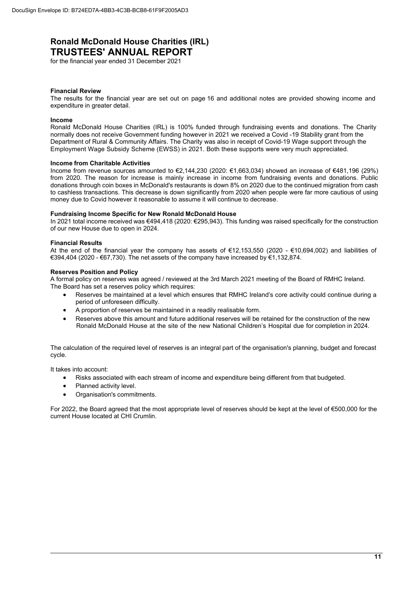for the financial year ended 31 December 2021

#### **Financial Review**

The results for the financial year are set out on page 16 and additional notes are provided showing income and expenditure in greater detail.

#### **Income**

Ronald McDonald House Charities (IRL) is 100% funded through fundraising events and donations. The Charity normally does not receive Government funding however in 2021 we received a Covid -19 Stability grant from the Department of Rural & Community Affairs. The Charity was also in receipt of Covid-19 Wage support through the Employment Wage Subsidy Scheme (EWSS) in 2021. Both these supports were very much appreciated.

#### **Income from Charitable Activities**

Income from revenue sources amounted to €2,144,230 (2020: €1,663,034) showed an increase of €481,196 (29%) from 2020. The reason for increase is mainly increase in income from fundraising events and donations. Public donations through coin boxes in McDonald's restaurants is down 8% on 2020 due to the continued migration from cash to cashless transactions. This decrease is down significantly from 2020 when people were far more cautious of using money due to Covid however it reasonable to assume it will continue to decrease.

#### **Fundraising Income Specific for New Ronald McDonald House**

In 2021 total income received was €494,418 (2020: €295,943). This funding was raised specifically for the construction of our new House due to open in 2024.

#### **Financial Results**

At the end of the financial year the company has assets of €12,153,550 (2020 - €10,694,002) and liabilities of €394,404 (2020 - €67,730). The net assets of the company have increased by €1,132,874.

#### **Reserves Position and Policy**

A formal policy on reserves was agreed / reviewed at the 3rd March 2021 meeting of the Board of RMHC Ireland. The Board has set a reserves policy which requires:

- Reserves be maintained at a level which ensures that RMHC Ireland's core activity could continue during a period of unforeseen difficulty.
- A proportion of reserves be maintained in a readily realisable form.
- Reserves above this amount and future additional reserves will be retained for the construction of the new Ronald McDonald House at the site of the new National Children's Hospital due for completion in 2024.

The calculation of the required level of reserves is an integral part of the organisation's planning, budget and forecast cycle.

It takes into account:

- Risks associated with each stream of income and expenditure being different from that budgeted.
- Planned activity level.
- Organisation's commitments.

For 2022, the Board agreed that the most appropriate level of reserves should be kept at the level of €500,000 for the current House located at CHI Crumlin.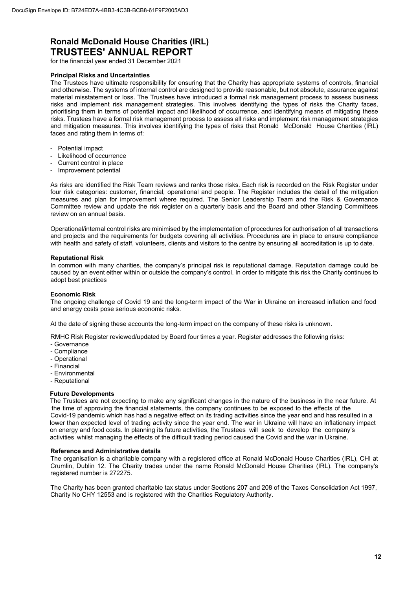for the financial year ended 31 December 2021

#### **Principal Risks and Uncertainties**

The Trustees have ultimate responsibility for ensuring that the Charity has appropriate systems of controls, financial and otherwise. The systems of internal control are designed to provide reasonable, but not absolute, assurance against material misstatement or loss. The Trustees have introduced a formal risk management process to assess business risks and implement risk management strategies. This involves identifying the types of risks the Charity faces, prioritising them in terms of potential impact and likelihood of occurrence, and identifying means of mitigating these risks. Trustees have a formal risk management process to assess all risks and implement risk management strategies and mitigation measures. This involves identifying the types of risks that Ronald McDonald House Charities (IRL) faces and rating them in terms of:

- Potential impact
- Likelihood of occurrence
- Current control in place
- Improvement potential

As risks are identified the Risk Team reviews and ranks those risks. Each risk is recorded on the Risk Register under four risk categories: customer, financial, operational and people. The Register includes the detail of the mitigation measures and plan for improvement where required. The Senior Leadership Team and the Risk & Governance Committee review and update the risk register on a quarterly basis and the Board and other Standing Committees review on an annual basis.

Operational/internal control risks are minimised by the implementation of procedures for authorisation of all transactions and projects and the requirements for budgets covering all activities. Procedures are in place to ensure compliance with health and safety of staff, volunteers, clients and visitors to the centre by ensuring all accreditation is up to date.

#### **Reputational Risk**

In common with many charities, the company's principal risk is reputational damage. Reputation damage could be caused by an event either within or outside the company's control. In order to mitigate this risk the Charity continues to adopt best practices

#### **Economic Risk**

The ongoing challenge of Covid 19 and the long-term impact of the War in Ukraine on increased inflation and food and energy costs pose serious economic risks.

At the date of signing these accounts the long-term impact on the company of these risks is unknown.

RMHC Risk Register reviewed/updated by Board four times a year. Register addresses the following risks:

- Governance
- Compliance
- Operational
- Financial
- Environmental
- Reputational

#### **Future Developments**

The Trustees are not expecting to make any significant changes in the nature of the business in the near future. At the time of approving the financial statements, the company continues to be exposed to the effects of the Covid-19 pandemic which has had a negative effect on its trading activities since the year end and has resulted in a lower than expected level of trading activity since the year end. The war in Ukraine will have an inflationary impact on energy and food costs. In planning its future activities, the Trustees will seek to develop the company's activities whilst managing the effects of the difficult trading period caused the Covid and the war in Ukraine.

#### **Reference and Administrative details**

The organisation is a charitable company with a registered office at Ronald McDonald House Charities (IRL), CHI at Crumlin, Dublin 12. The Charity trades under the name Ronald McDonald House Charities (IRL). The company's registered number is 272275.

The Charity has been granted charitable tax status under Sections 207 and 208 of the Taxes Consolidation Act 1997, Charity No CHY 12553 and is registered with the Charities Regulatory Authority.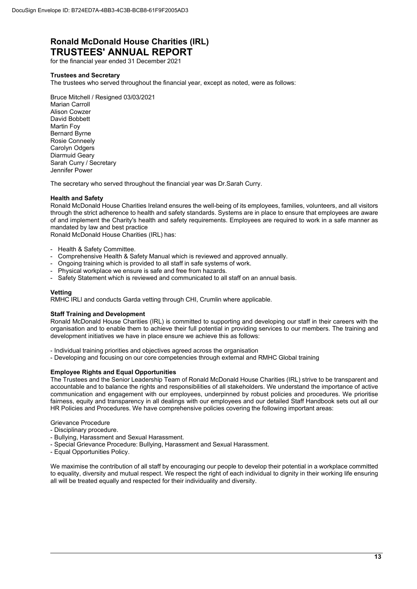for the financial year ended 31 December 2021

#### **Trustees and Secretary**

The trustees who served throughout the financial year, except as noted, were as follows:

Bruce Mitchell / Resigned 03/03/2021

Marian Carroll Alison Cowzer David Bobbett Martin Foy Bernard Byrne Rosie Conneely Carolyn Odgers Diarmuid Geary Sarah Curry / Secretary Jennifer Power

The secretary who served throughout the financial year was Dr.Sarah Curry.

#### **Health and Safety**

Ronald McDonald House Charities Ireland ensures the well-being of its employees, families, volunteers, and all visitors through the strict adherence to health and safety standards. Systems are in place to ensure that employees are aware of and implement the Charity's health and safety requirements. Employees are required to work in a safe manner as mandated by law and best practice

Ronald McDonald House Charities (IRL) has:

- Health & Safety Committee.
- Comprehensive Health & Safety Manual which is reviewed and approved annually.
- Ongoing training which is provided to all staff in safe systems of work.
- Physical workplace we ensure is safe and free from hazards.
- Safety Statement which is reviewed and communicated to all staff on an annual basis.

#### **Vetting**

RMHC IRLl and conducts Garda vetting through CHI, Crumlin where applicable.

#### **Staff Training and Development**

Ronald McDonald House Charities (IRL) is committed to supporting and developing our staff in their careers with the organisation and to enable them to achieve their full potential in providing services to our members. The training and development initiatives we have in place ensure we achieve this as follows:

- Individual training priorities and objectives agreed across the organisation

- Developing and focusing on our core competencies through external and RMHC Global training

#### **Employee Rights and Equal Opportunities**

The Trustees and the Senior Leadership Team of Ronald McDonald House Charities (IRL) strive to be transparent and accountable and to balance the rights and responsibilities of all stakeholders. We understand the importance of active communication and engagement with our employees, underpinned by robust policies and procedures. We prioritise fairness, equity and transparency in all dealings with our employees and our detailed Staff Handbook sets out all our HR Policies and Procedures. We have comprehensive policies covering the following important areas:

Grievance Procedure

- Disciplinary procedure.
- Bullying, Harassment and Sexual Harassment.
- Special Grievance Procedure: Bullying, Harassment and Sexual Harassment.
- Equal Opportunities Policy.

We maximise the contribution of all staff by encouraging our people to develop their potential in a workplace committed to equality, diversity and mutual respect. We respect the right of each individual to dignity in their working life ensuring all will be treated equally and respected for their individuality and diversity.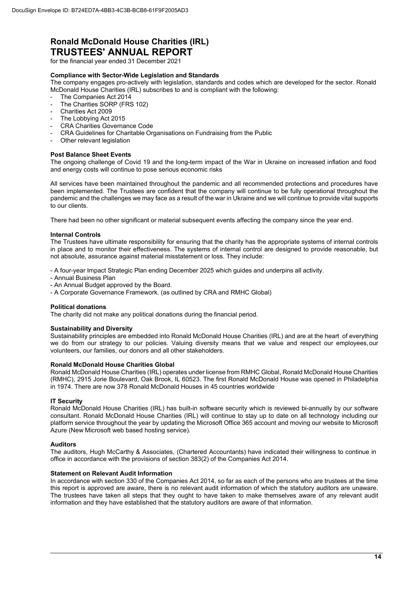for the financial year ended 31 December 2021

#### **Compliance with Sector-Wide Legislation and Standards**

The company engages pro-actively with legislation, standards and codes which are developed for the sector. Ronald McDonald House Charities (IRL) subscribes to and is compliant with the following:

- The Companies Act 2014 The Charities SORP (FRS 102)
- Charities Act 2009
- The Lobbying Act 2015
- CRA Charities Governance Code
- CRA Guidelines for Charitable Organisations on Fundraising from the Public
- Other relevant legislation

#### **Post Balance Sheet Events**

The ongoing challenge of Covid 19 and the long-term impact of the War in Ukraine on increased inflation and food and energy costs will continue to pose serious economic risks

All services have been maintained throughout the pandemic and all recommended protections and procedures have been implemented. The Trustees are confident that the company will continue to be fully operational throughout the pandemic and the challenges we may face as a result of the war in Ukraine and we will continue to provide vital supports to our clients.

There had been no other significant or material subsequent events affecting the company since the year end.

#### **Internal Controls**

The Trustees have ultimate responsibility for ensuring that the charity has the appropriate systems of internal controls in place and to monitor their effectiveness. The systems of internal control are designed to provide reasonable, but not absolute, assurance against material misstatement or loss. They include:

- A four-year Impact Strategic Plan ending December 2025 which guides and underpins all activity.

- Annual Business Plan
- An Annual Budget approved by the Board.
- A Corporate Governance Framework. (as outlined by CRA and RMHC Global)

#### **Political donations**

The charity did not make any political donations during the financial period.

#### **Sustainability and Diversity**

Sustainability principles are embedded into Ronald McDonald House Charities (IRL) and are at the heart of everything we do from our strategy to our policies. Valuing diversity means that we value and respect our employees, our volunteers, our families, our donors and all other stakeholders.

#### **Ronald McDonald House Charities Global**

Ronald McDonald House Charities (IRL) operates under license from RMHC Global, Ronald McDonald House Charities (RMHC), 2915 Jorie Boulevard, Oak Brook, IL 60523. The first Ronald McDonald House was opened in Philadelphia in 1974. There are now 378 Ronald McDonald Houses in 45 countries worldwide

#### **IT Security**

Ronald McDonald House Charities (IRL) has built-in software security which is reviewed bi-annually by our software consultant. Ronald McDonald House Charities (IRL) will continue to stay up to date on all technology including our platform service throughout the year by updating the Microsoft Office 365 account and moving our website to Microsoft Azure (New Microsoft web based hosting service).

#### **Auditors**

The auditors, Hugh McCarthy & Associates, (Chartered Accountants) have indicated their willingness to continue in office in accordance with the provisions of section 383(2) of the Companies Act 2014.

#### **Statement on Relevant Audit Information**

In accordance with section 330 of the Companies Act 2014, so far as each of the persons who are trustees at the time this report is approved are aware, there is no relevant audit information of which the statutory auditors are unaware. The trustees have taken all steps that they ought to have taken to make themselves aware of any relevant audit information and they have established that the statutory auditors are aware of that information.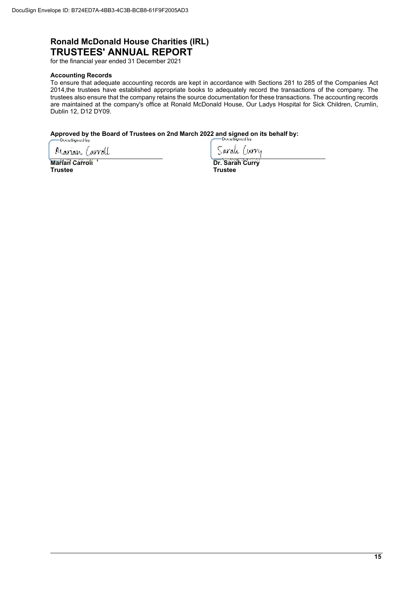for the financial year ended 31 December 2021

#### **Accounting Records**

To ensure that adequate accounting records are kept in accordance with Sections 281 to 285 of the Companies Act 2014,the trustees have established appropriate books to adequately record the transactions of the company. The trustees also ensure that the company retains the source documentation for these transactions. The accounting records are maintained at the company's office at Ronald McDonald House, Our Ladys Hospital for Sick Children, Crumlin, Dublin 12, D12 DY09.

# Approved by the Board of Trustees on 2nd March 2022 and signed on its behalf by:<br>
Decesigned by:

Marian Carroll

Sarah Curru

**Marian Carroll 1**<br> **Marian Carroll 1**<br> **Dr. Sarah Curry Indian Curry Contract Curry Primes in the Urry Primes of Trustee Trustee Trustee**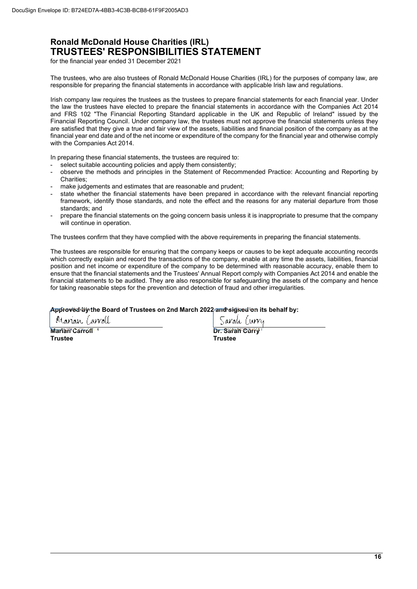### **Ronald McDonald House Charities (IRL) TRUSTEES' RESPONSIBILITIES STATEMENT**

for the financial year ended 31 December 2021

The trustees, who are also trustees of Ronald McDonald House Charities (IRL) for the purposes of company law, are responsible for preparing the financial statements in accordance with applicable Irish law and regulations.

Irish company law requires the trustees as the trustees to prepare financial statements for each financial year. Under the law the trustees have elected to prepare the financial statements in accordance with the Companies Act 2014 and FRS 102 "The Financial Reporting Standard applicable in the UK and Republic of Ireland" issued by the Financial Reporting Council. Under company law, the trustees must not approve the financial statements unless they are satisfied that they give a true and fair view of the assets, liabilities and financial position of the company as at the financial year end date and of the net income or expenditure of the company for the financial year and otherwise comply with the Companies Act 2014.

In preparing these financial statements, the trustees are required to:

- select suitable accounting policies and apply them consistently;
- observe the methods and principles in the Statement of Recommended Practice: Accounting and Reporting by Charities;
- make judgements and estimates that are reasonable and prudent;
- state whether the financial statements have been prepared in accordance with the relevant financial reporting framework, identify those standards, and note the effect and the reasons for any material departure from those standards; and
- prepare the financial statements on the going concern basis unless it is inappropriate to presume that the company will continue in operation.

The trustees confirm that they have complied with the above requirements in preparing the financial statements.

The trustees are responsible for ensuring that the company keeps or causes to be kept adequate accounting records which correctly explain and record the transactions of the company, enable at any time the assets, liabilities, financial position and net income or expenditure of the company to be determined with reasonable accuracy, enable them to ensure that the financial statements and the Trustees' Annual Report comply with Companies Act 2014 and enable the financial statements to be audited. They are also responsible for safeguarding the assets of the company and hence for taking reasonable steps for the prevention and detection of fraud and other irregularities.

#### **Approved by the Board of Trustees on 2nd March 2022 and signed on its behalf by:**

Manan Carroll **Marian Carroll 1**<br> **Trustee Curry Curry Curry Curry Curry Curry Prints of Curry Prints of Curry Prints Curry Prints of Curry Prints of Curry Prints of Curry Prints of Curry Prints of Curry Prints of Curry Prints of Curry Trustee Trustee** 

Sarah Turru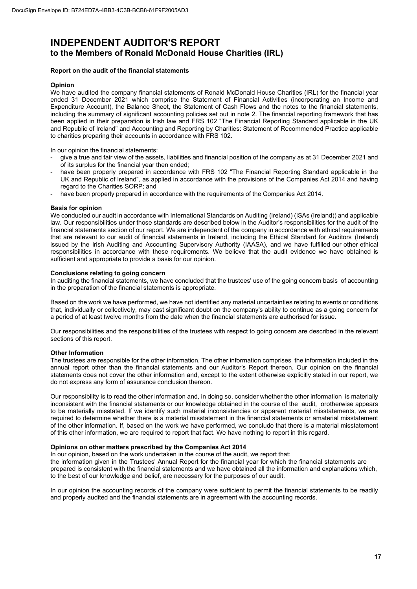### **INDEPENDENT AUDITOR'S REPORT to the Members of Ronald McDonald House Charities (IRL)**

#### **Report on the audit of the financial statements**

#### **Opinion**

We have audited the company financial statements of Ronald McDonald House Charities (IRL) for the financial year ended 31 December 2021 which comprise the Statement of Financial Activities (incorporating an Income and Expenditure Account), the Balance Sheet, the Statement of Cash Flows and the notes to the financial statements, including the summary of significant accounting policies set out in note 2. The financial reporting framework that has been applied in their preparation is Irish law and FRS 102 "The Financial Reporting Standard applicable in the UK and Republic of Ireland" and Accounting and Reporting by Charities: Statement of Recommended Practice applicable to charities preparing their accounts in accordance with FRS 102.

In our opinion the financial statements:

- give a true and fair view of the assets, liabilities and financial position of the company as at 31 December 2021 and of its surplus for the financial year then ended;
- have been properly prepared in accordance with FRS 102 "The Financial Reporting Standard applicable in the UK and Republic of Ireland", as applied in accordance with the provisions of the Companies Act 2014 and having regard to the Charities SORP; and
- have been properly prepared in accordance with the requirements of the Companies Act 2014.

#### **Basis for opinion**

We conducted our audit in accordance with International Standards on Auditing (Ireland) (ISAs (Ireland)) and applicable law. Our responsibilities under those standards are described below in the Auditor's responsibilities for the audit of the financial statements section of our report. We are independent of the company in accordance with ethical requirements that are relevant to our audit of financial statements in Ireland, including the Ethical Standard for Auditors (Ireland) issued by the Irish Auditing and Accounting Supervisory Authority (IAASA), and we have fulfilled our other ethical responsibilities in accordance with these requirements. We believe that the audit evidence we have obtained is sufficient and appropriate to provide a basis for our opinion.

#### **Conclusions relating to going concern**

In auditing the financial statements, we have concluded that the trustees' use of the going concern basis of accounting in the preparation of the financial statements is appropriate.

Based on the work we have performed, we have not identified any material uncertainties relating to events or conditions that, individually or collectively, may cast significant doubt on the company's ability to continue as a going concern for a period of at least twelve months from the date when the financial statements are authorised for issue.

Our responsibilities and the responsibilities of the trustees with respect to going concern are described in the relevant sections of this report.

#### **Other Information**

The trustees are responsible for the other information. The other information comprises the information included in the annual report other than the financial statements and our Auditor's Report thereon. Our opinion on the financial statements does not cover the other information and, except to the extent otherwise explicitly stated in our report, we do not express any form of assurance conclusion thereon.

Our responsibility is to read the other information and, in doing so, consider whether the other information is materially inconsistent with the financial statements or our knowledge obtained in the course of the audit, orotherwise appears to be materially misstated. If we identify such material inconsistencies or apparent material misstatements, we are required to determine whether there is a material misstatement in the financial statements or amaterial misstatement of the other information. If, based on the work we have performed, we conclude that there is a material misstatement of this other information, we are required to report that fact. We have nothing to report in this regard.

#### **Opinions on other matters prescribed by the Companies Act 2014**

In our opinion, based on the work undertaken in the course of the audit, we report that: the information given in the Trustees' Annual Report for the financial year for which the financial statements are prepared is consistent with the financial statements and we have obtained all the information and explanations which, to the best of our knowledge and belief, are necessary for the purposes of our audit.

In our opinion the accounting records of the company were sufficient to permit the financial statements to be readily and properly audited and the financial statements are in agreement with the accounting records.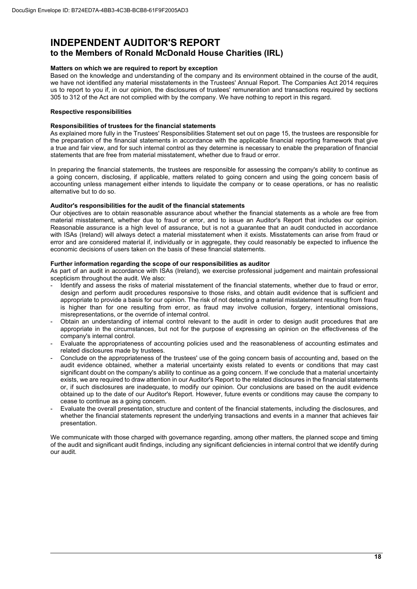## **INDEPENDENT AUDITOR'S REPORT**

### **to the Members of Ronald McDonald House Charities (IRL)**

#### **Matters on which we are required to report by exception**

Based on the knowledge and understanding of the company and its environment obtained in the course of the audit, we have not identified any material misstatements in the Trustees' Annual Report. The Companies Act 2014 requires us to report to you if, in our opinion, the disclosures of trustees' remuneration and transactions required by sections 305 to 312 of the Act are not complied with by the company. We have nothing to report in this regard.

#### **Respective responsibilities**

#### **Responsibilities of trustees for the financial statements**

As explained more fully in the Trustees' Responsibilities Statement set out on page 15, the trustees are responsible for the preparation of the financial statements in accordance with the applicable financial reporting framework that give a true and fair view, and for such internal control as they determine is necessary to enable the preparation of financial statements that are free from material misstatement, whether due to fraud or error.

In preparing the financial statements, the trustees are responsible for assessing the company's ability to continue as a going concern, disclosing, if applicable, matters related to going concern and using the going concern basis of accounting unless management either intends to liquidate the company or to cease operations, or has no realistic alternative but to do so.

#### **Auditor's responsibilities for the audit of the financial statements**

Our objectives are to obtain reasonable assurance about whether the financial statements as a whole are free from material misstatement, whether due to fraud or error, and to issue an Auditor's Report that includes our opinion. Reasonable assurance is a high level of assurance, but is not a guarantee that an audit conducted in accordance with ISAs (Ireland) will always detect a material misstatement when it exists. Misstatements can arise from fraud or error and are considered material if, individually or in aggregate, they could reasonably be expected to influence the economic decisions of users taken on the basis of these financial statements.

#### **Further information regarding the scope of our responsibilities as auditor**

As part of an audit in accordance with ISAs (Ireland), we exercise professional judgement and maintain professional scepticism throughout the audit. We also:

- Identify and assess the risks of material misstatement of the financial statements, whether due to fraud or error, design and perform audit procedures responsive to those risks, and obtain audit evidence that is sufficient and appropriate to provide a basis for our opinion. The risk of not detecting a material misstatement resulting from fraud is higher than for one resulting from error, as fraud may involve collusion, forgery, intentional omissions, misrepresentations, or the override of internal control.
- Obtain an understanding of internal control relevant to the audit in order to design audit procedures that are appropriate in the circumstances, but not for the purpose of expressing an opinion on the effectiveness of the company's internal control.
- Evaluate the appropriateness of accounting policies used and the reasonableness of accounting estimates and related disclosures made by trustees.
- Conclude on the appropriateness of the trustees' use of the going concern basis of accounting and, based on the audit evidence obtained, whether a material uncertainty exists related to events or conditions that may cast significant doubt on the company's ability to continue as a going concern. If we conclude that a material uncertainty exists, we are required to draw attention in our Auditor's Report to the related disclosures in the financial statements or, if such disclosures are inadequate, to modify our opinion. Our conclusions are based on the audit evidence obtained up to the date of our Auditor's Report. However, future events or conditions may cause the company to cease to continue as a going concern.
- Evaluate the overall presentation, structure and content of the financial statements, including the disclosures, and whether the financial statements represent the underlying transactions and events in a manner that achieves fair presentation.

We communicate with those charged with governance regarding, among other matters, the planned scope and timing of the audit and significant audit findings, including any significant deficiencies in internal control that we identify during our audit.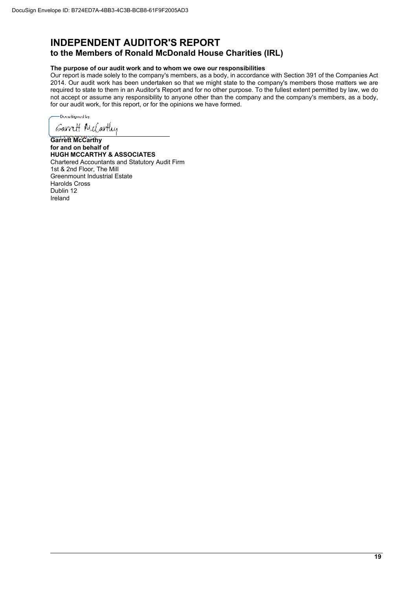### **INDEPENDENT AUDITOR'S REPORT to the Members of Ronald McDonald House Charities (IRL)**

### **The purpose of our audit work and to whom we owe our responsibilities**

Our report is made solely to the company's members, as a body, in accordance with Section 391 of the Companies Act 2014. Our audit work has been undertaken so that we might state to the company's members those matters we are required to state to them in an Auditor's Report and for no other purpose. To the fullest extent permitted by law, we do not accept or assume any responsibility to anyone other than the company and the company's members, as a body, for our audit work, for this report, or for the opinions we have formed.

DocuSigned by: *Garrett MeCartley* 

**Garrett McCarthy for and on behalf of HUGH MCCARTHY & ASSOCIATES**  Chartered Accountants and Statutory Audit Firm 1st & 2nd Floor, The Mill Greenmount Industrial Estate Harolds Cross Dublin 12 Ireland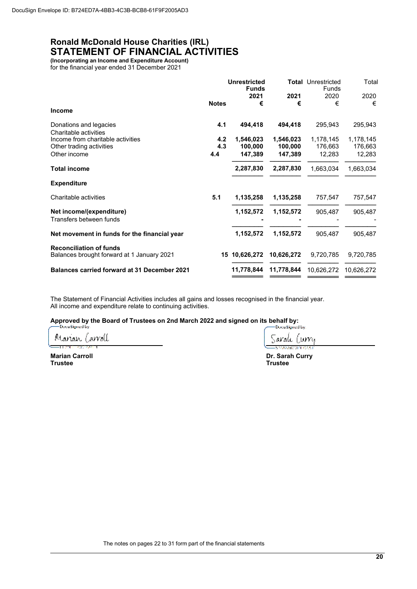### **Ronald McDonald House Charities (IRL) STATEMENT OF FINANCIAL ACTIVITIES**

**(Incorporating an Income and Expenditure Account)**  for the financial year ended 31 December 2021

|                                                                              |              | <b>Unrestricted</b><br><b>Funds</b> |            | <b>Total Unrestricted</b><br>Funds | Total      |
|------------------------------------------------------------------------------|--------------|-------------------------------------|------------|------------------------------------|------------|
|                                                                              |              | 2021                                | 2021       | 2020                               | 2020       |
| <b>Income</b>                                                                | <b>Notes</b> | €                                   | €          | €                                  | €          |
| Donations and legacies<br>Charitable activities                              | 4.1          | 494,418                             | 494,418    | 295,943                            | 295,943    |
| Income from charitable activities                                            | 4.2          | 1,546,023                           | 1,546,023  | 1,178,145                          | 1,178,145  |
| Other trading activities                                                     | 4.3          | 100,000                             | 100,000    | 176,663                            | 176,663    |
| Other income                                                                 | 4.4          | 147,389                             | 147,389    | 12,283                             | 12,283     |
| <b>Total income</b>                                                          |              | 2,287,830                           | 2,287,830  | 1,663,034                          | 1,663,034  |
| <b>Expenditure</b>                                                           |              |                                     |            |                                    |            |
| Charitable activities                                                        | 5.1          | 1,135,258                           | 1,135,258  | 757,547                            | 757,547    |
| Net income/(expenditure)                                                     |              | 1,152,572                           | 1,152,572  | 905,487                            | 905,487    |
| Transfers between funds                                                      |              |                                     |            |                                    |            |
| Net movement in funds for the financial year                                 |              | 1,152,572                           | 1,152,572  | 905,487                            | 905,487    |
| <b>Reconciliation of funds</b><br>Balances brought forward at 1 January 2021 |              | 15 10,626,272                       | 10,626,272 | 9,720,785                          | 9,720,785  |
| <b>Balances carried forward at 31 December 2021</b>                          |              | 11,778,844                          | 11,778,844 | 10,626,272                         | 10,626,272 |
|                                                                              |              |                                     |            |                                    |            |

The Statement of Financial Activities includes all gains and losses recognised in the financial year. All income and expenditure relate to continuing activities.

**Approved by the Board of Trustees on 2nd March 2022 and signed on its behalf by:** 

Marian Carroll n as **CONTRACT** 

**Marian Carroll Dr. Sarah Curry Trustee Trustee** 

Saralı Curry .<br>Балаавести сал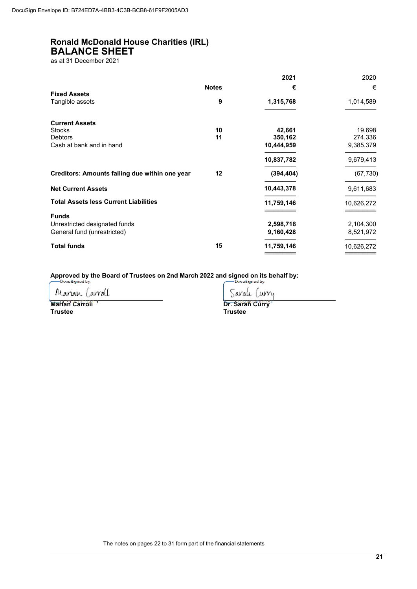### **Ronald McDonald House Charities (IRL) BALANCE SHEET**

as at 31 December 2021

|                                                |              | 2021       | 2020       |
|------------------------------------------------|--------------|------------|------------|
| <b>Fixed Assets</b>                            | <b>Notes</b> | €          | €          |
| Tangible assets                                | 9            | 1,315,768  | 1,014,589  |
| <b>Current Assets</b>                          |              |            |            |
| <b>Stocks</b>                                  | 10           | 42,661     | 19,698     |
| <b>Debtors</b>                                 | 11           | 350,162    | 274,336    |
| Cash at bank and in hand                       |              | 10,444,959 | 9,385,379  |
|                                                |              | 10,837,782 | 9,679,413  |
| Creditors: Amounts falling due within one year | 12           | (394, 404) | (67, 730)  |
| <b>Net Current Assets</b>                      |              | 10,443,378 | 9,611,683  |
| <b>Total Assets less Current Liabilities</b>   |              | 11,759,146 | 10,626,272 |
| <b>Funds</b>                                   |              |            |            |
| Unrestricted designated funds                  |              | 2,598,718  | 2,104,300  |
| General fund (unrestricted)                    |              | 9,160,428  | 8,521,972  |
| <b>Total funds</b>                             | 15           | 11,759,146 | 10,626,272 |
|                                                |              |            |            |

Approved by the Board of Trustees on 2nd March 2022 and signed on its behalf by:<br>
Decutionally.

Marian Carroll

Sarak Curry **Marian Carroll 1**<br> **Marian Carroll 1**<br> **Dr. Sarah Curry 1999** 

**Trustee Trustee** 

The notes on pages 22 to 31 form part of the financial statements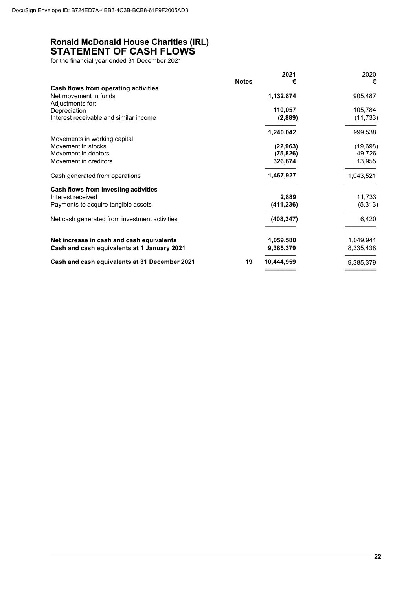### **Ronald McDonald House Charities (IRL) STATEMENT OF CASH FLOWS**

for the financial year ended 31 December 2021

|                                               |              | 2021       | 2020      |
|-----------------------------------------------|--------------|------------|-----------|
|                                               | <b>Notes</b> | €          | €         |
| Cash flows from operating activities          |              |            |           |
| Net movement in funds                         |              | 1,132,874  | 905,487   |
| Adjustments for:                              |              |            |           |
| Depreciation                                  |              | 110,057    | 105,784   |
| Interest receivable and similar income        |              | (2,889)    | (11, 733) |
|                                               |              | 1,240,042  | 999,538   |
| Movements in working capital:                 |              |            |           |
| Movement in stocks                            |              | (22, 963)  | (19, 698) |
| Movement in debtors                           |              | (75, 826)  | 49,726    |
| Movement in creditors                         |              | 326,674    | 13,955    |
| Cash generated from operations                |              | 1,467,927  | 1,043,521 |
| Cash flows from investing activities          |              |            |           |
| Interest received                             |              | 2,889      | 11,733    |
| Payments to acquire tangible assets           |              | (411, 236) | (5,313)   |
| Net cash generated from investment activities |              | (408, 347) | 6,420     |
| Net increase in cash and cash equivalents     |              | 1,059,580  | 1,049,941 |
| Cash and cash equivalents at 1 January 2021   |              | 9,385,379  | 8,335,438 |
|                                               |              |            |           |
| Cash and cash equivalents at 31 December 2021 | 19           | 10,444,959 | 9,385,379 |
|                                               |              |            |           |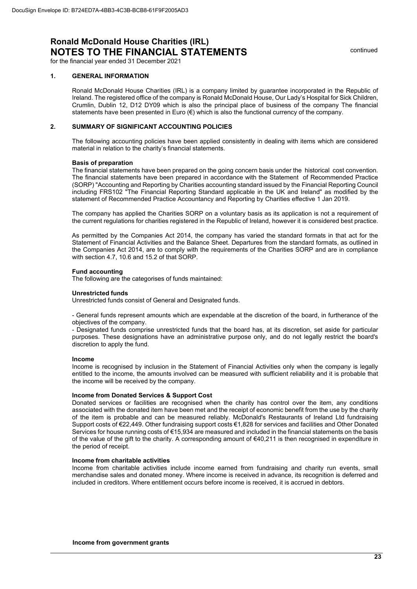continued

for the financial year ended 31 December 2021

#### **1. GENERAL INFORMATION**

Ronald McDonald House Charities (IRL) is a company limited by guarantee incorporated in the Republic of Ireland. The registered office of the company is Ronald McDonald House, Our Lady's Hospital for Sick Children, Crumlin, Dublin 12, D12 DY09 which is also the principal place of business of the company The financial statements have been presented in Euro  $(\epsilon)$  which is also the functional currency of the company.

#### **2. SUMMARY OF SIGNIFICANT ACCOUNTING POLICIES**

The following accounting policies have been applied consistently in dealing with items which are considered material in relation to the charity's financial statements.

#### **Basis of preparation**

The financial statements have been prepared on the going concern basis under the historical cost convention. The financial statements have been prepared in accordance with the Statement of Recommended Practice (SORP) "Accounting and Reporting by Charities accounting standard issued by the Financial Reporting Council including FRS102 "The Financial Reporting Standard applicable in the UK and Ireland" as modified by the statement of Recommended Practice Accountancy and Reporting by Charities effective 1 Jan 2019.

The company has applied the Charities SORP on a voluntary basis as its application is not a requirement of the current regulations for charities registered in the Republic of Ireland, however it is considered best practice.

As permitted by the Companies Act 2014, the company has varied the standard formats in that act for the Statement of Financial Activities and the Balance Sheet. Departures from the standard formats, as outlined in the Companies Act 2014, are to comply with the requirements of the Charities SORP and are in compliance with section 4.7, 10.6 and 15.2 of that SORP.

#### **Fund accounting**

The following are the categorises of funds maintained:

#### **Unrestricted funds**

Unrestricted funds consist of General and Designated funds.

- General funds represent amounts which are expendable at the discretion of the board, in furtherance of the objectives of the company.

- Designated funds comprise unrestricted funds that the board has, at its discretion, set aside for particular purposes. These designations have an administrative purpose only, and do not legally restrict the board's discretion to apply the fund.

#### **Income**

Income is recognised by inclusion in the Statement of Financial Activities only when the company is legally entitled to the income, the amounts involved can be measured with sufficient reliability and it is probable that the income will be received by the company.

#### **Income from Donated Services & Support Cost**

Donated services or facilities are recognised when the charity has control over the item, any conditions associated with the donated item have been met and the receipt of economic benefit from the use by the charity of the item is probable and can be measured reliably. McDonald's Restaurants of Ireland Ltd fundraising Support costs of €22,449. Other fundraising support costs €1,828 for services and facilities and Other Donated Services for house running costs of €15,934 are measured and included in the financial statements on the basis of the value of the gift to the charity. A corresponding amount of €40,211 is then recognised in expenditure in the period of receipt.

#### **Income from charitable activities**

Income from charitable activities include income earned from fundraising and charity run events, small merchandise sales and donated money. Where income is received in advance, its recognition is deferred and included in creditors. Where entitlement occurs before income is received, it is accrued in debtors.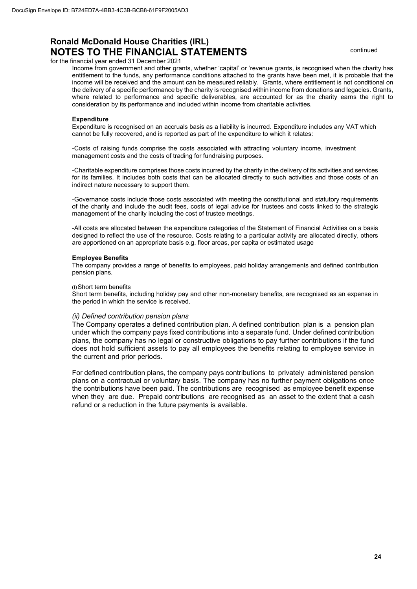continued

for the financial year ended 31 December 2021

Income from government and other grants, whether 'capital' or 'revenue grants, is recognised when the charity has entitlement to the funds, any performance conditions attached to the grants have been met, it is probable that the income will be received and the amount can be measured reliably. Grants, where entitlement is not conditional on the delivery of a specific performance by the charity is recognised within income from donations and legacies. Grants, where related to performance and specific deliverables, are accounted for as the charity earns the right to consideration by its performance and included within income from charitable activities.

#### **Expenditure**

Expenditure is recognised on an accruals basis as a liability is incurred. Expenditure includes any VAT which cannot be fully recovered, and is reported as part of the expenditure to which it relates:

-Costs of raising funds comprise the costs associated with attracting voluntary income, investment management costs and the costs of trading for fundraising purposes.

-Charitable expenditure comprises those costs incurred by the charity in the delivery of its activities and services for its families. It includes both costs that can be allocated directly to such activities and those costs of an indirect nature necessary to support them.

-Governance costs include those costs associated with meeting the constitutional and statutory requirements of the charity and include the audit fees, costs of legal advice for trustees and costs linked to the strategic management of the charity including the cost of trustee meetings.

-All costs are allocated between the expenditure categories of the Statement of Financial Activities on a basis designed to reflect the use of the resource. Costs relating to a particular activity are allocated directly, others are apportioned on an appropriate basis e.g. floor areas, per capita or estimated usage

#### **Employee Benefits**

The company provides a range of benefits to employees, paid holiday arrangements and defined contribution pension plans.

#### (i) Short term benefits

Short term benefits, including holiday pay and other non-monetary benefits, are recognised as an expense in the period in which the service is received.

#### *(ii) Defined contribution pension plans*

The Company operates a defined contribution plan. A defined contribution plan is a pension plan under which the company pays fixed contributions into a separate fund. Under defined contribution plans, the company has no legal or constructive obligations to pay further contributions if the fund does not hold sufficient assets to pay all employees the benefits relating to employee service in the current and prior periods.

For defined contribution plans, the company pays contributions to privately administered pension plans on a contractual or voluntary basis. The company has no further payment obligations once the contributions have been paid. The contributions are recognised as employee benefit expense when they are due. Prepaid contributions are recognised as an asset to the extent that a cash refund or a reduction in the future payments is available.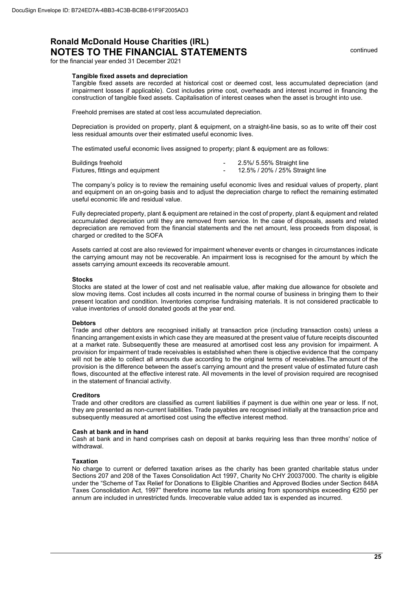continued

for the financial year ended 31 December 2021

#### **Tangible fixed assets and depreciation**

Tangible fixed assets are recorded at historical cost or deemed cost, less accumulated depreciation (and impairment losses if applicable). Cost includes prime cost, overheads and interest incurred in financing the construction of tangible fixed assets. Capitalisation of interest ceases when the asset is brought into use.

Freehold premises are stated at cost less accumulated depreciation.

Depreciation is provided on property, plant & equipment, on a straight-line basis, so as to write off their cost less residual amounts over their estimated useful economic lives.

The estimated useful economic lives assigned to property; plant & equipment are as follows:

| Buildings freehold               | 2.5%/ 5.55% Straight line       |
|----------------------------------|---------------------------------|
| Fixtures, fittings and equipment | 12.5% / 20% / 25% Straight line |

The company's policy is to review the remaining useful economic lives and residual values of property, plant and equipment on an on-going basis and to adjust the depreciation charge to reflect the remaining estimated useful economic life and residual value.

Fully depreciated property, plant & equipment are retained in the cost of property, plant & equipment and related accumulated depreciation until they are removed from service. In the case of disposals, assets and related depreciation are removed from the financial statements and the net amount, less proceeds from disposal, is charged or credited to the SOFA

Assets carried at cost are also reviewed for impairment whenever events or changes in circumstances indicate the carrying amount may not be recoverable. An impairment loss is recognised for the amount by which the assets carrying amount exceeds its recoverable amount.

#### **Stocks**

Stocks are stated at the lower of cost and net realisable value, after making due allowance for obsolete and slow moving items. Cost includes all costs incurred in the normal course of business in bringing them to their present location and condition. Inventories comprise fundraising materials. It is not considered practicable to value inventories of unsold donated goods at the year end.

#### **Debtors**

Trade and other debtors are recognised initially at transaction price (including transaction costs) unless a financing arrangement exists in which case they are measured at the present value of future receipts discounted at a market rate. Subsequently these are measured at amortised cost less any provision for impairment. A provision for impairment of trade receivables is established when there is objective evidence that the company will not be able to collect all amounts due according to the original terms of receivables. The amount of the provision is the difference between the asset's carrying amount and the present value of estimated future cash flows, discounted at the effective interest rate. All movements in the level of provision required are recognised in the statement of financial activity.

#### **Creditors**

Trade and other creditors are classified as current liabilities if payment is due within one year or less. If not, they are presented as non-current liabilities. Trade payables are recognised initially at the transaction price and subsequently measured at amortised cost using the effective interest method.

#### **Cash at bank and in hand**

Cash at bank and in hand comprises cash on deposit at banks requiring less than three months' notice of withdrawal.

#### **Taxation**

No charge to current or deferred taxation arises as the charity has been granted charitable status under Sections 207 and 208 of the Taxes Consolidation Act 1997, Charity No CHY 20037000. The charity is eligible under the "Scheme of Tax Relief for Donations to Eligible Charities and Approved Bodies under Section 848A Taxes Consolidation Act, 1997" therefore income tax refunds arising from sponsorships exceeding €250 per annum are included in unrestricted funds. Irrecoverable value added tax is expended as incurred.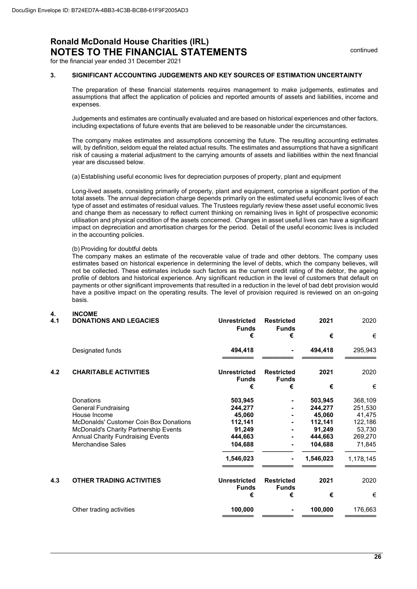for the financial year ended 31 December 2021

#### **3. SIGNIFICANT ACCOUNTING JUDGEMENTS AND KEY SOURCES OF ESTIMATION UNCERTAINTY**

The preparation of these financial statements requires management to make judgements, estimates and assumptions that affect the application of policies and reported amounts of assets and liabilities, income and expenses.

Judgements and estimates are continually evaluated and are based on historical experiences and other factors, including expectations of future events that are believed to be reasonable under the circumstances.

The company makes estimates and assumptions concerning the future. The resulting accounting estimates will, by definition, seldom equal the related actual results. The estimates and assumptions that have a significant risk of causing a material adjustment to the carrying amounts of assets and liabilities within the next financial year are discussed below.

(a) Establishing useful economic lives for depreciation purposes of property, plant and equipment

Long-lived assets, consisting primarily of property, plant and equipment, comprise a significant portion of the total assets. The annual depreciation charge depends primarily on the estimated useful economic lives of each type of asset and estimates of residual values. The Trustees regularly review these asset useful economic lives and change them as necessary to reflect current thinking on remaining lives in light of prospective economic utilisation and physical condition of the assets concerned. Changes in asset useful lives can have a significant impact on depreciation and amortisation charges for the period. Detail of the useful economic lives is included in the accounting policies.

#### (b) Providing for doubtful debts

The company makes an estimate of the recoverable value of trade and other debtors. The company uses estimates based on historical experience in determining the level of debts, which the company believes, will not be collected. These estimates include such factors as the current credit rating of the debtor, the ageing profile of debtors and historical experience. Any significant reduction in the level of customers that default on payments or other significant improvements that resulted in a reduction in the level of bad debt provision would have a positive impact on the operating results. The level of provision required is reviewed on an on-going basis.

#### **4. INCOME**

| 4.1 | <b>DONATIONS AND LEGACIES</b>                                                                                                                                                                                             | <b>Unrestricted</b><br><b>Funds</b>                                                  | <b>Restricted</b><br><b>Funds</b> | 2021                                                                                 | 2020                                                                                |
|-----|---------------------------------------------------------------------------------------------------------------------------------------------------------------------------------------------------------------------------|--------------------------------------------------------------------------------------|-----------------------------------|--------------------------------------------------------------------------------------|-------------------------------------------------------------------------------------|
|     |                                                                                                                                                                                                                           | €                                                                                    | €                                 | €                                                                                    | €                                                                                   |
|     | Designated funds                                                                                                                                                                                                          | 494,418                                                                              |                                   | 494,418                                                                              | 295,943                                                                             |
| 4.2 | <b>CHARITABLE ACTIVITIES</b>                                                                                                                                                                                              | <b>Unrestricted</b><br><b>Funds</b>                                                  | <b>Restricted</b><br><b>Funds</b> | 2021                                                                                 | 2020                                                                                |
|     |                                                                                                                                                                                                                           | €                                                                                    | €                                 | €                                                                                    | €                                                                                   |
|     | Donations<br><b>General Fundraising</b><br>House Income<br><b>McDonalds' Customer Coin Box Donations</b><br>McDonald's Charity Partnership Events<br><b>Annual Charity Fundraising Events</b><br><b>Merchandise Sales</b> | 503,945<br>244,277<br>45,060<br>112,141<br>91,249<br>444,663<br>104,688<br>1,546,023 |                                   | 503,945<br>244,277<br>45,060<br>112,141<br>91,249<br>444,663<br>104,688<br>1,546,023 | 368,109<br>251,530<br>41,475<br>122,186<br>53,730<br>269,270<br>71,845<br>1,178,145 |
|     |                                                                                                                                                                                                                           |                                                                                      |                                   |                                                                                      |                                                                                     |
| 4.3 | <b>OTHER TRADING ACTIVITIES</b>                                                                                                                                                                                           | <b>Unrestricted</b><br><b>Funds</b>                                                  | <b>Restricted</b><br><b>Funds</b> | 2021                                                                                 | 2020                                                                                |
|     |                                                                                                                                                                                                                           | €                                                                                    | €                                 | €                                                                                    | €                                                                                   |
|     | Other trading activities                                                                                                                                                                                                  | 100,000                                                                              |                                   | 100,000                                                                              | 176,663                                                                             |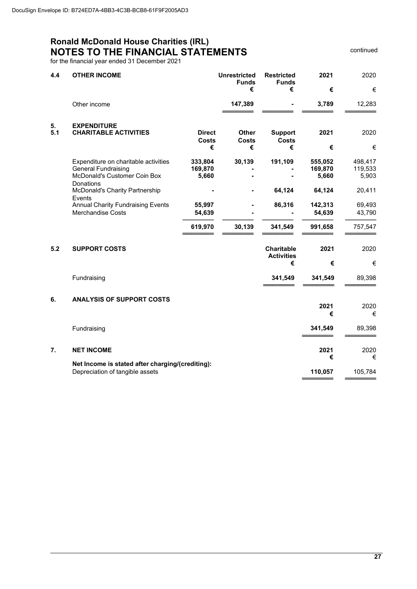continued

for the financial year ended 31 December 2021

| 4.4       | <b>OTHER INCOME</b>                                                                                             |                                    | <b>Unrestricted</b><br><b>Funds</b><br>€ | <b>Restricted</b><br><b>Funds</b><br>€      | 2021<br>€                   | 2020<br>€                   |
|-----------|-----------------------------------------------------------------------------------------------------------------|------------------------------------|------------------------------------------|---------------------------------------------|-----------------------------|-----------------------------|
|           | Other income                                                                                                    |                                    | 147,389                                  |                                             | 3,789                       | 12,283                      |
| 5.<br>5.1 | <b>EXPENDITURE</b><br><b>CHARITABLE ACTIVITIES</b>                                                              | <b>Direct</b><br><b>Costs</b><br>€ | <b>Other</b><br><b>Costs</b><br>€        | <b>Support</b><br><b>Costs</b><br>€         | 2021<br>€                   | 2020<br>€                   |
|           | Expenditure on charitable activities<br><b>General Fundraising</b><br>McDonald's Customer Coin Box<br>Donations | 333,804<br>169,870<br>5,660        | 30,139                                   | 191,109                                     | 555,052<br>169,870<br>5,660 | 498,417<br>119,533<br>5,903 |
|           | <b>McDonald's Charity Partnership</b>                                                                           |                                    |                                          | 64,124                                      | 64,124                      | 20,411                      |
|           | Events<br><b>Annual Charity Fundraising Events</b><br><b>Merchandise Costs</b>                                  | 55,997<br>54,639                   |                                          | 86,316                                      | 142,313<br>54,639           | 69,493<br>43,790            |
|           |                                                                                                                 | 619,970                            | 30,139                                   | 341,549                                     | 991,658                     | 757,547                     |
| 5.2       | <b>SUPPORT COSTS</b>                                                                                            |                                    |                                          | <b>Charitable</b><br><b>Activities</b><br>€ | 2021<br>€                   | 2020<br>€                   |
|           | Fundraising                                                                                                     |                                    |                                          | 341,549                                     | 341,549                     | 89,398                      |
| 6.        | <b>ANALYSIS OF SUPPORT COSTS</b>                                                                                |                                    |                                          |                                             | 2021<br>€                   | 2020<br>€                   |
|           | Fundraising                                                                                                     |                                    |                                          |                                             | 341,549                     | 89,398                      |
| 7.        | <b>NET INCOME</b>                                                                                               |                                    |                                          |                                             | 2021<br>€                   | 2020<br>€                   |
|           | Net Income is stated after charging/(crediting):<br>Depreciation of tangible assets                             |                                    |                                          |                                             | 110,057                     | 105,784                     |
|           |                                                                                                                 |                                    |                                          |                                             |                             |                             |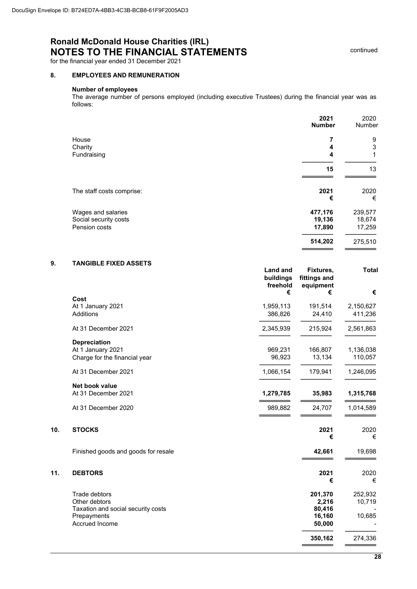for the financial year ended 31 December 2021

#### **8. EMPLOYEES AND REMUNERATION**

### **Number of employees**

The average number of persons employed (including executive Trustees) during the financial year was as follows:

|                           | 2021<br><b>Number</b> | 2020<br>Number |
|---------------------------|-----------------------|----------------|
| House                     | 7                     | 9              |
| Charity                   | 4                     | 3              |
| Fundraising               | 4                     | 1              |
|                           | 15                    | 13             |
| The staff costs comprise: | 2021                  | 2020           |
|                           | €                     | €              |
| Wages and salaries        | 477,176               | 239,577        |
| Social security costs     | 19,136                | 18,674         |
| Pension costs             | 17,890                | 17,259         |
|                           | 514,202               | 275,510        |

### **9. TANGIBLE FIXED ASSETS**

|     |                                     | <b>Land and</b><br>buildings<br>freehold<br>€ | Fixtures,<br>fittings and<br>equipment<br>€ | <b>Total</b><br>€ |
|-----|-------------------------------------|-----------------------------------------------|---------------------------------------------|-------------------|
|     | Cost                                |                                               |                                             |                   |
|     | At 1 January 2021                   | 1,959,113                                     | 191,514                                     | 2,150,627         |
|     | Additions                           | 386,826                                       | 24,410                                      | 411,236           |
|     | At 31 December 2021                 | 2,345,939                                     | 215,924                                     | 2,561,863         |
|     | <b>Depreciation</b>                 |                                               |                                             |                   |
|     | At 1 January 2021                   | 969,231                                       | 166,807                                     | 1,136,038         |
|     | Charge for the financial year       | 96,923                                        | 13,134                                      | 110,057           |
|     | At 31 December 2021                 | 1,066,154                                     | 179,941                                     | 1,246,095         |
|     | Net book value                      |                                               |                                             |                   |
|     | At 31 December 2021                 | 1,279,785                                     | 35,983                                      | 1,315,768         |
|     | At 31 December 2020                 | 989,882                                       | 24,707                                      | 1,014,589         |
| 10. | <b>STOCKS</b>                       |                                               | 2021<br>€                                   | 2020<br>€         |
|     | Finished goods and goods for resale |                                               | 42,661                                      | 19,698            |
| 11. | <b>DEBTORS</b>                      |                                               | 2021<br>€                                   | 2020<br>€         |
|     | Trade debtors                       |                                               | 201,370                                     | 252,932           |
|     | Other debtors                       |                                               | 2,216                                       | 10,719            |
|     | Taxation and social security costs  |                                               | 80,416                                      |                   |
|     | Prepayments                         |                                               | 16,160                                      | 10,685            |
|     | Accrued Income                      |                                               | 50,000                                      |                   |
|     |                                     |                                               | 350,162                                     | 274,336           |
|     |                                     |                                               |                                             |                   |

continued

═══════════════

═══════════════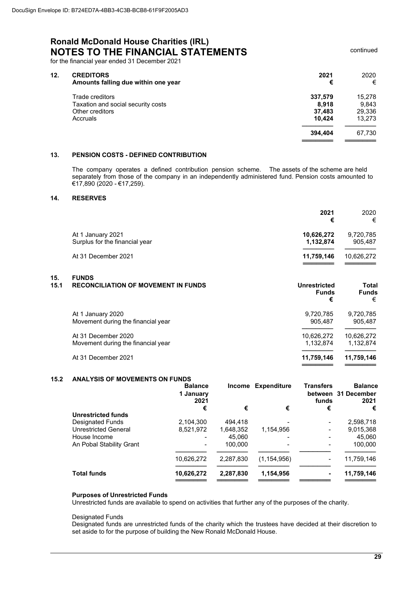for the financial year ended 31 December 2021

| 12. | <b>CREDITORS</b><br>Amounts falling due within one year | 2021<br>€ | 2020<br>€ |
|-----|---------------------------------------------------------|-----------|-----------|
|     | Trade creditors                                         | 337,579   | 15,278    |
|     | Taxation and social security costs                      | 8,918     | 9.843     |
|     | Other creditors                                         | 37.483    | 29,336    |
|     | Accruals                                                | 10.424    | 13,273    |
|     |                                                         | 394.404   | 67.730    |
|     |                                                         |           |           |

#### **13. PENSION COSTS - DEFINED CONTRIBUTION**

The company operates a defined contribution pension scheme. The assets of the scheme are held separately from those of the company in an independently administered fund. Pension costs amounted to €17,890 (2020 - €17,259).

#### **14. RESERVES**

|                                                     | 2021<br>€               | 2020<br>€            |
|-----------------------------------------------------|-------------------------|----------------------|
| At 1 January 2021<br>Surplus for the financial year | 10,626,272<br>1,132,874 | 9,720,785<br>905.487 |
| At 31 December 2021                                 | 11,759,146              | 10,626,272           |

### **15. FUNDS 15.1 RECONCILIATION OF MOVEMENT IN FUNDS CONCIDENT IN THE SECONCILIATION OF MOVEMENT IN FUNDS**

|                                    | <b>Funds</b><br>€ | <b>Funds</b><br>€ |
|------------------------------------|-------------------|-------------------|
| At 1 January 2020                  | 9,720,785         | 9,720,785         |
| Movement during the financial year | 905.487           | 905,487           |
| At 31 December 2020                | 10,626,272        | 10,626,272        |
| Movement during the financial year | 1.132.874         | 1.132.874         |
| At 31 December 2021                | 11,759,146        | 11,759,146        |

#### **15.2 ANALYSIS OF MOVEMENTS ON FUNDS**

|                             | <b>Balance</b><br>1 January<br>2021 |           | Income Expenditure | <b>Transfers</b><br>funds                                                                                                                         | <b>Balance</b><br>between 31 December<br>2021 |
|-----------------------------|-------------------------------------|-----------|--------------------|---------------------------------------------------------------------------------------------------------------------------------------------------|-----------------------------------------------|
|                             | €                                   | €         | €                  | €                                                                                                                                                 | €                                             |
| <b>Unrestricted funds</b>   |                                     |           |                    |                                                                                                                                                   |                                               |
| Designated Funds            | 2,104,300                           | 494.418   |                    | $\blacksquare$                                                                                                                                    | 2,598,718                                     |
| <b>Unrestricted General</b> | 8,521,972                           | 1,648,352 | 1,154,956          | $\hskip1.6pt\hskip1.6pt\hskip1.6pt\hskip1.6pt\hskip1.6pt\hskip1.6pt\hskip1.6pt\hskip1.6pt\hskip1.6pt\hskip1.6pt\hskip1.6pt\hskip1.6pt\hskip1.6pt$ | 9,015,368                                     |
| House Income                |                                     | 45.060    |                    | $\blacksquare$                                                                                                                                    | 45,060                                        |
| An Pobal Stability Grant    |                                     | 100.000   |                    |                                                                                                                                                   | 100,000                                       |
|                             | 10,626,272                          | 2,287,830 | (1, 154, 956)      | $\hskip1.6pt\hskip1.6pt\hskip1.6pt\hskip1.6pt\hskip1.6pt\hskip1.6pt\hskip1.6pt\hskip1.6pt\hskip1.6pt\hskip1.6pt\hskip1.6pt\hskip1.6pt\hskip1.6pt$ | 11,759,146                                    |
| <b>Total funds</b>          | 10,626,272                          | 2,287,830 | 1,154,956          | ۰                                                                                                                                                 | 11,759,146                                    |

#### **Purposes of Unrestricted Funds**

Unrestricted funds are available to spend on activities that further any of the purposes of the charity.

#### Designated Funds

Designated funds are unrestricted funds of the charity which the trustees have decided at their discretion to set aside to for the purpose of building the New Ronald McDonald House.

continued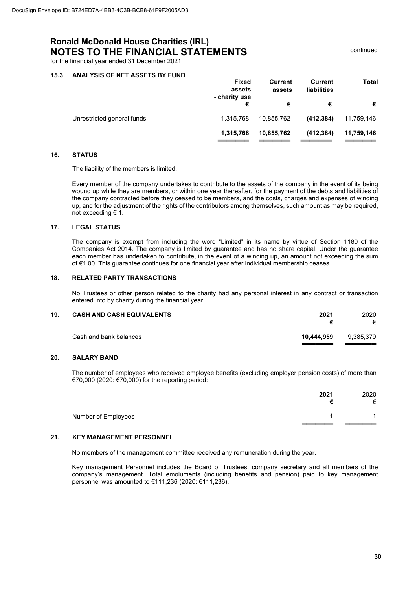continued

for the financial year ended 31 December 2021

#### **15.3 ANALYSIS OF NET ASSETS BY FUND**

| <b>Fixed</b><br>assets | Current<br>assets | Current<br><b>liabilities</b> | Total      |
|------------------------|-------------------|-------------------------------|------------|
| €                      | €                 | €                             | €          |
| 1,315,768              | 10,855,762        | (412, 384)                    | 11,759,146 |
| 1,315,768              | 10,855,762        | (412, 384)                    | 11,759,146 |
|                        | - charity use     |                               |            |

#### **16. STATUS**

The liability of the members is limited.

Every member of the company undertakes to contribute to the assets of the company in the event of its being wound up while they are members, or within one year thereafter, for the payment of the debts and liabilities of the company contracted before they ceased to be members, and the costs, charges and expenses of winding up, and for the adjustment of the rights of the contributors among themselves, such amount as may be required, not exceeding € 1.

#### **17. LEGAL STATUS**

The company is exempt from including the word "Limited" in its name by virtue of Section 1180 of the Companies Act 2014. The company is limited by guarantee and has no share capital. Under the guarantee each member has undertaken to contribute, in the event of a winding up, an amount not exceeding the sum of €1.00. This guarantee continues for one financial year after individual membership ceases.

#### **18. RELATED PARTY TRANSACTIONS**

No Trustees or other person related to the charity had any personal interest in any contract or transaction entered into by charity during the financial year.

| 19. | <b>CASH AND CASH EQUIVALENTS</b> | 2021       | 2020<br>€ |
|-----|----------------------------------|------------|-----------|
|     | Cash and bank balances           | 10.444.959 | 9,385,379 |

#### **20. SALARY BAND**

The number of employees who received employee benefits (excluding employer pension costs) of more than €70,000 (2020: €70,000) for the reporting period:

|                     | 2021 | 2020<br>€      |
|---------------------|------|----------------|
| Number of Employees |      | $\overline{A}$ |
|                     |      |                |

#### **21. KEY MANAGEMENT PERSONNEL**

No members of the management committee received any remuneration during the year.

Key management Personnel includes the Board of Trustees, company secretary and all members of the company's management. Total emoluments (including benefits and pension) paid to key management personnel was amounted to €111,236 (2020: €111,236).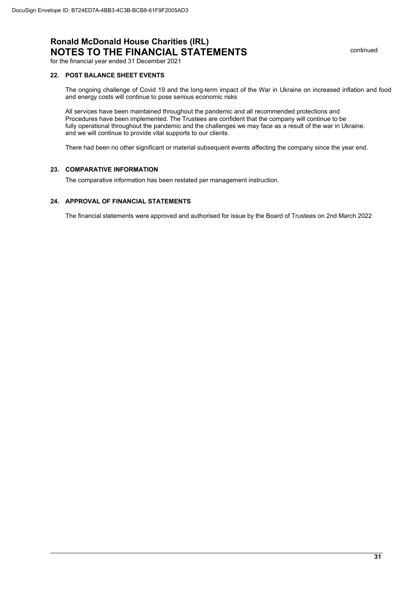continued

for the financial year ended 31 December 2021

#### **22. POST BALANCE SHEET EVENTS**

The ongoing challenge of Covid 19 and the long-term impact of the War in Ukraine on increased inflation and food and energy costs will continue to pose serious economic risks

All services have been maintained throughout the pandemic and all recommended protections and Procedures have been implemented. The Trustees are confident that the company will continue to be fully operational throughout the pandemic and the challenges we may face as a result of the war in Ukraine. and we will continue to provide vital supports to our clients.

There had been no other significant or material subsequent events affecting the company since the year end.

#### **23. COMPARATIVE INFORMATION**

The comparative information has been restated per management instruction.

#### **24. APPROVAL OF FINANCIAL STATEMENTS**

The financial statements were approved and authorised for issue by the Board of Trustees on 2nd March 2022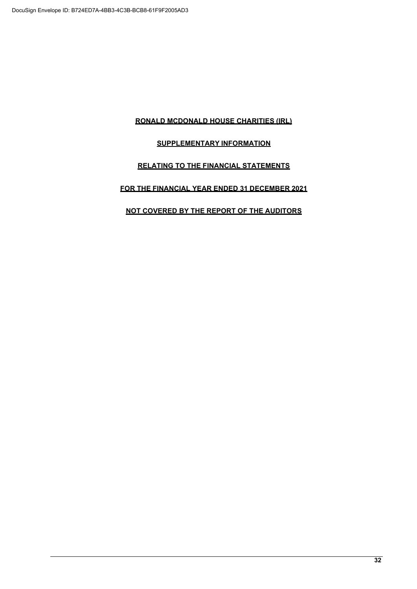### **RONALD MCDONALD HOUSE CHARITIES (IRL)**

### **SUPPLEMENTARY INFORMATION**

### **RELATING TO THE FINANCIAL STATEMENTS**

### **FOR THE FINANCIAL YEAR ENDED 31 DECEMBER 2021**

### **NOT COVERED BY THE REPORT OF THE AUDITORS**